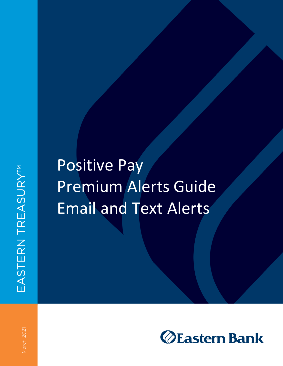# Positive Pay Premium Alerts Guide Email and Text Alerts

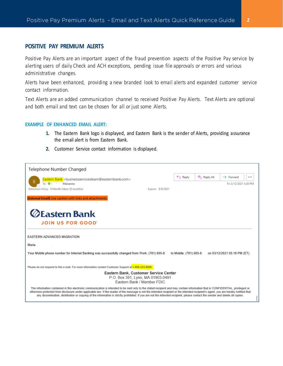## **POSITIVE PAY PREMIUM ALERTS**

Positive Pay Alerts are an important aspect of the fraud prevention aspects of the Positive Pay service by alerting users of daily Check and ACH exceptions, pending issue file approvals or errors and various administrative changes.

Alerts have been enhanced, providing a new branded look to email alerts and expanded customer service contact information.

Text Alerts are an added communication channel to received Positive Pay Alerts. Text Alerts are optional and both email and text can be chosen for all or just some Alerts.

#### **EXAMPLE OF ENHANCED EMAIL ALERT:**

- **1.** The Eastern Bank logo is displayed, and Eastern Bank is the sender of Alerts, providing assurance the email alert is from Eastern Bank.
- **2.** Customer Service contact information is displayed.

| Telephone Number Changed                                                                                                                                                                                                                                                                                                                                                                                                                                                                                                                                |                  |                    |           |                              |  |
|---------------------------------------------------------------------------------------------------------------------------------------------------------------------------------------------------------------------------------------------------------------------------------------------------------------------------------------------------------------------------------------------------------------------------------------------------------------------------------------------------------------------------------------------------------|------------------|--------------------|-----------|------------------------------|--|
| Eastern Bank <businessservicesteam@easternbank.com></businessservicesteam@easternbank.com>                                                                                                                                                                                                                                                                                                                                                                                                                                                              |                  | $\leftarrow$ Reply | Reply All | $\rightarrow$ Forward        |  |
| B<br>ø<br>То<br>Marianne                                                                                                                                                                                                                                                                                                                                                                                                                                                                                                                                |                  |                    |           | Fri 3/12/2021 5:26 PM        |  |
| Retention Policy 6 Month Inbox (6 months)                                                                                                                                                                                                                                                                                                                                                                                                                                                                                                               | Expires 9/8/2021 |                    |           |                              |  |
| [External Email] Use caution with links and attachments.                                                                                                                                                                                                                                                                                                                                                                                                                                                                                                |                  |                    |           |                              |  |
|                                                                                                                                                                                                                                                                                                                                                                                                                                                                                                                                                         |                  |                    |           |                              |  |
| <b>ØEastern Bank</b>                                                                                                                                                                                                                                                                                                                                                                                                                                                                                                                                    |                  |                    |           |                              |  |
| JOIN US FOR GOOD                                                                                                                                                                                                                                                                                                                                                                                                                                                                                                                                        |                  |                    |           |                              |  |
|                                                                                                                                                                                                                                                                                                                                                                                                                                                                                                                                                         |                  |                    |           |                              |  |
| EASTERN ADVANCED MIGRATION                                                                                                                                                                                                                                                                                                                                                                                                                                                                                                                              |                  |                    |           |                              |  |
| Maria                                                                                                                                                                                                                                                                                                                                                                                                                                                                                                                                                   |                  |                    |           |                              |  |
| Your Mobile phone number for Internet Banking was successfully changed from Work: (781) 605-8 [16] Your Mobile: (781) 605-8                                                                                                                                                                                                                                                                                                                                                                                                                             |                  |                    |           | on 03/12/2021 05:18 PM (ET). |  |
|                                                                                                                                                                                                                                                                                                                                                                                                                                                                                                                                                         |                  |                    |           |                              |  |
| Please do not respond to this e-mail. For more information contact Customer Support at 1-800-333-8000.                                                                                                                                                                                                                                                                                                                                                                                                                                                  |                  |                    |           |                              |  |
| Eastern Bank, Customer Service Center<br>P.O. Box 391, Lynn, MA 01903-0491<br>Eastern Bank / Member FDIC                                                                                                                                                                                                                                                                                                                                                                                                                                                |                  |                    |           |                              |  |
| The information contained in this electronic communication is intended to be sent only to the stated recipient and may contain information that is CONFIDENTIAL, privileged or<br>otherwise protected from disclosure under applicable law. If the reader of the message is not the intended recipient or the intended recipient's agent, you are hereby notified that<br>any dissemination, distribution or copying of the information is strictly prohibited. If you are not the intended recipient, please contact the sender and delete all copies, |                  |                    |           |                              |  |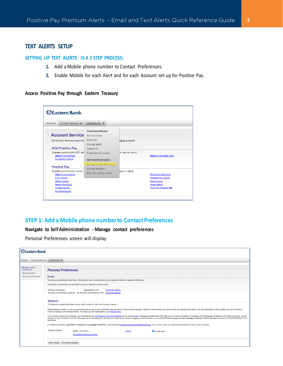# **TEXT ALERTS SETUP**

#### **SETTING UP TEXT ALERTS IS A 2 STEP PROCESS:**

- **1.** Add a Mobile phone number to Contact Preferences.
- **2.** Enable Mobile for each Alert and for each Account set up for Positive Pay.

## **Access Positive Pay through Eastern Treasury**

| Welcome | Account Services                                                                 | Administration $\blacktriangledown$            |                     |                                                  |
|---------|----------------------------------------------------------------------------------|------------------------------------------------|---------------------|--------------------------------------------------|
|         | <b>Account Service</b>                                                           | <b>Communications</b><br>Mail and alerts       |                     |                                                  |
|         | The Account Services section fa                                                  | Sent mail<br>Manage alerts                     | aging accounts.     |                                                  |
|         | <b>ACH Positive Pay</b><br>Examine questionable ACH del<br>Manage exceptions     | Contact us<br>Forms and documents              | he (pay or reject). | Manage payment rules                             |
|         | <b>Exceptions status</b>                                                         | <b>Self Administration</b>                     |                     |                                                  |
|         | <b>Positive Pay</b>                                                              | Manage contact preferences<br>Manage favorites |                     |                                                  |
|         | Examine questionable checks o<br><b>Manage exceptions</b><br><b>Enter issues</b> | View user activity report                      | (pay or reject).    | <b>Exception decisions</b><br>Outstanding issues |
|         | <b>Import issues</b><br><b>Import decisions</b>                                  |                                                |                     | <b>Stale issues</b><br><b>Issue status</b>       |
|         | <b>Update issues</b><br><b>Approve issues</b>                                    |                                                |                     | <b>Approve decision files</b>                    |

# **STEP 1: Add a Mobile phone number to Contact Preferences**

#### **Navigate to Self Administration - Manage contact preferences**

Personal Preferences screen will display

| <b>ZEastern Bank</b>                                                                  |                                                                                                                                                                                                                                                                                                                                                                                                                                                                                                                                                                                                                                                                                                                                                                                                                                                                                                                                                                                                                                                                                                                                                    |  |  |  |  |
|---------------------------------------------------------------------------------------|----------------------------------------------------------------------------------------------------------------------------------------------------------------------------------------------------------------------------------------------------------------------------------------------------------------------------------------------------------------------------------------------------------------------------------------------------------------------------------------------------------------------------------------------------------------------------------------------------------------------------------------------------------------------------------------------------------------------------------------------------------------------------------------------------------------------------------------------------------------------------------------------------------------------------------------------------------------------------------------------------------------------------------------------------------------------------------------------------------------------------------------------------|--|--|--|--|
| Welcome                                                                               | Account Services ▼ Administration ▼                                                                                                                                                                                                                                                                                                                                                                                                                                                                                                                                                                                                                                                                                                                                                                                                                                                                                                                                                                                                                                                                                                                |  |  |  |  |
| Manage contact<br>preferences<br><b>Manage favorites</b><br>View user activity report | <b>Personal Preferences</b><br>E-mail                                                                                                                                                                                                                                                                                                                                                                                                                                                                                                                                                                                                                                                                                                                                                                                                                                                                                                                                                                                                                                                                                                              |  |  |  |  |
|                                                                                       | The primary e-mail address listed below will be used for bank communications such as alerts and electronic statement notifications.<br>A secondary e-mail address can be added for use as an optional or backup e-mail.<br>Primary e-mail address:<br>@easternbank.com<br>Change this address<br>Secondary e-mail address (optional): No secondary e-mail address on file<br>Change this address<br><b>Telephone</b>                                                                                                                                                                                                                                                                                                                                                                                                                                                                                                                                                                                                                                                                                                                               |  |  |  |  |
|                                                                                       | The telephone numbers listed below may be used to contact or notify you for security reasons.<br>Mobile telephone numbers in (xxx) xxx-xxxx format can be used for alert notifications that you select to receive as text messages. Select the mobile number you want to use for text message alerts below. Your alert subscrip<br>welcome message at the selected number. To manage your alert subscriptions, go to Manage Alerts.<br>If you choose to receive text messages, you are agreeing to the Text Message Terms and Conditions and our posted Privacy. Messages and Data Rates May Apply, see your Carrier for details. The frequency of text messages will<br>change your alert selections at any time. Messages can be discontinued by removing your mobile phone number, changing your alert selections, or by sending STOP as a reply to an alert message or directly to 20736. Messages<br><b>Bank Alerts</b><br>For additional assistance, type HELP in response to a message from 20736 or send an email to businessservicesteam@eastermbank.com. You can also contact us in Secure email using the Contact us Link on this site. |  |  |  |  |
|                                                                                       | Telephone number:<br>Mobile: (781) 605-8.<br>Use with alerts<br>Change<br>Add additional telephone number<br>Save changes Do not save changes                                                                                                                                                                                                                                                                                                                                                                                                                                                                                                                                                                                                                                                                                                                                                                                                                                                                                                                                                                                                      |  |  |  |  |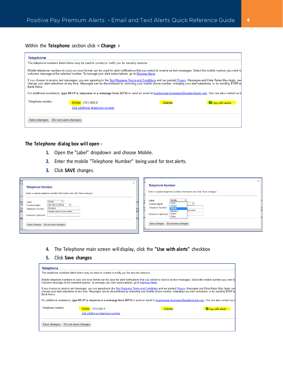#### Within the **Telephone** section click < **Change** >

| <b>Telephone</b>                                                                                                                                                                                                                                                                                                                                              |
|---------------------------------------------------------------------------------------------------------------------------------------------------------------------------------------------------------------------------------------------------------------------------------------------------------------------------------------------------------------|
| The telephone numbers listed below may be used to contact or notify you for security reasons.                                                                                                                                                                                                                                                                 |
| Mobile telephone numbers in (xxx) xxx-xxxx format can be used for alert notifications that you select to receive as text messages. Select the mobile number you want to<br>welcome message at the selected number. To manage your alert subscriptions, go to Manage Alerts.                                                                                   |
| If you choose to receive text messages, you are agreeing to the Text Message Terms and Conditions and our posted Privacy. Messages and Data Rates May Apply, see<br>change your alert selections at any time. Messages can be discontinued by removing your mobile phone number, changing your alert selections, or by sending STOP as<br><b>Bank Alerts.</b> |
| For additional assistance, type HELP in response to a message from 20736 or send an email to businessservicesteam@easternbank.com. You can also contact us in                                                                                                                                                                                                 |
| Telephone number:<br>Mobile: (781) 605-8<br>Change<br>Use with alerts<br>Add additional telephone number                                                                                                                                                                                                                                                      |
| Do not save changes<br>Save changes                                                                                                                                                                                                                                                                                                                           |

## **The Telephone dialog box will open -**

- **1.** Open the "Label" dropdown and choose Mobile.
- **2.** Enter the mobile "Telephone Number" being used for text alerts.
- **3.** Click **SAVE** changes.

| ibar<br>il a               |                                                                                            | $\times$                                                                                                        |  |
|----------------------------|--------------------------------------------------------------------------------------------|-----------------------------------------------------------------------------------------------------------------|--|
|                            | $\times$<br><b>Telephone Number</b>                                                        | <b>Telephone Number</b>                                                                                         |  |
| t or                       | Enter or update telephone number information and click "Save changes."                     | Enter or update telephone number information and click "Save changes."                                          |  |
| use<br> ale<br> th<br> dis | Mobile<br>$\check{ }$<br>Label:<br><b>UNITED STATES</b><br>$\checkmark$<br>Country/region: | Mobile<br>Label:<br>$\check{ }$<br><b>Work</b><br>$\checkmark$<br>Country/region:<br>Work2<br>Telephone Number: |  |
|                            | 7816058<br><b>Telephone Number:</b><br>(Area/city code and local number)                   | <b>Mobile</b><br>al number)<br>Mobile <sub>2</sub>                                                              |  |
| ssa                        | Extension (optional):                                                                      | Home<br>Extension (optional):<br>Other                                                                          |  |
| <b>nu</b>                  | Save changes Do not save changes                                                           | Save changes Do not save changes                                                                                |  |
|                            |                                                                                            |                                                                                                                 |  |

- **4.** The Telephone main screen will display, click the **"Use with alerts"** checkbox
- **5.** Click **Save changes**

| <b>Telephone</b>                                                                                                                                                                                                                                                                                                                                              |  |  |  |  |
|---------------------------------------------------------------------------------------------------------------------------------------------------------------------------------------------------------------------------------------------------------------------------------------------------------------------------------------------------------------|--|--|--|--|
| The telephone numbers listed below may be used to contact or notify you for security reasons.                                                                                                                                                                                                                                                                 |  |  |  |  |
| Mobile telephone numbers in (xxx) xxx-xxxx format can be used for alert notifications that you select to receive as text messages. Select the mobile number you want to<br>welcome message at the selected number. To manage your alert subscriptions, go to Manage Alerts.                                                                                   |  |  |  |  |
| If you choose to receive text messages, you are agreeing to the Text Message Terms and Conditions and our posted Privacy. Messages and Data Rates May Apply, see<br>change your alert selections at any time. Messages can be discontinued by removing your mobile phone number, changing your alert selections, or by sending STOP as<br><b>Bank Alerts.</b> |  |  |  |  |
| For additional assistance, type HELP in response to a message from 20736 or send an email to businessservicesteam@easternbank.com. You can also contact us in                                                                                                                                                                                                 |  |  |  |  |
| Telephone number:<br>Mobile: (781) 605-8<br>Change<br>Use with alerts                                                                                                                                                                                                                                                                                         |  |  |  |  |
| Add additional telephone number<br>Do not save changes<br>Save changes                                                                                                                                                                                                                                                                                        |  |  |  |  |
|                                                                                                                                                                                                                                                                                                                                                               |  |  |  |  |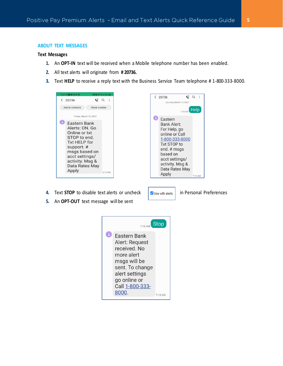#### **ABOUT TEXT MESSAGES**

#### **Text Messages**

- **1.** An **OPT-IN** text will be received when a Mobile telephone number has been enabled.
- **2.** All text alerts will originate from **# 20736.**
- **3.** Text **HELP** to receive a reply text with the Business Service Team telephone # 1-800-333-8000.





- **4.** Text **STOP** to disable text alerts or uncheck **in Personal Preferences**
- **5.** An **OPT-OUT** text message will be sent

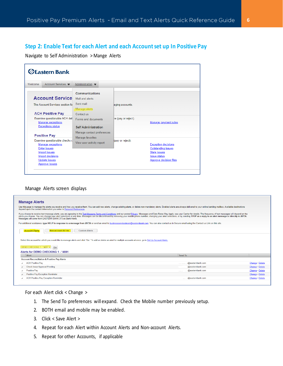# **Step 2: Enable Text for each Alert and each Account set up In Positive Pay**

Navigate to Self Administration > Mange Alerts

| Welcome | Account Services $\blacktriangledown$                                        | Administration $\blacktriangledown$                      |                     |                                                                      |
|---------|------------------------------------------------------------------------------|----------------------------------------------------------|---------------------|----------------------------------------------------------------------|
|         | <b>Account Service</b>                                                       | Communications<br>Mail and alerts                        |                     |                                                                      |
|         | The Account Services section fa                                              | Sent mail<br>Manage alerts                               | aging accounts.     |                                                                      |
|         | <b>ACH Positive Pay</b><br>Examine questionable ACH del<br>Manage exceptions | Contact us<br>Forms and documents                        | he (pay or reject). | Manage payment rules                                                 |
|         | <b>Exceptions status</b><br><b>Positive Pay</b>                              | <b>Self Administration</b><br>Manage contact preferences |                     |                                                                      |
|         | Examine questionable checks o<br>Manage exceptions<br><b>Enter issues</b>    | Manage favorites<br>View user activity report            | (pay or reject).    | <b>Exception decisions</b><br>Outstanding issues                     |
|         | <b>Import issues</b><br><b>Import decisions</b><br>Update issues             |                                                          |                     | <b>Stale issues</b><br><b>Issue status</b><br>Approve decision files |

#### Manage Alerts screen displays

#### **Manage Alerts**

| Use this page to manage the alerts you receive and how you receive them. You can add new alerts, change existing alerts, or delete non-mandatory alerts. Enabled alerts are always delivered to your online banking mailbox. A<br>depend upon the contact information you enter in Personal Preferences.                                                                                                                                                                                                                     |         |                   |                 |  |
|------------------------------------------------------------------------------------------------------------------------------------------------------------------------------------------------------------------------------------------------------------------------------------------------------------------------------------------------------------------------------------------------------------------------------------------------------------------------------------------------------------------------------|---------|-------------------|-----------------|--|
| If you choose to receive text message alerts, you are agreeing to the Text Message Terms and Conditions and our posted Privacy. Messages and Data Rates May Apply, see your Carrier for details. The frequency of text message<br>alerts you choose. You can change your alert selections at any time. Messages can be discontinued by removing your mobile phone number, changing your alert selections, or by sending STOP as a reply to an alert message or d<br>Messages will come from EASTERN BANK 373 as Bank Alerts. |         |                   |                 |  |
| For additional assistance, type HELP in response to a message from 20736 or send an email to businessservicesteam@easternbank.com. You can also contact us in Secure email using the Contact us Link on this site.                                                                                                                                                                                                                                                                                                           |         |                   |                 |  |
| <b>Non-account Alerts</b><br><b>Custom Alerts</b><br><b>Account Alerts</b>                                                                                                                                                                                                                                                                                                                                                                                                                                                   |         |                   |                 |  |
| Select the account for which you would like to manage alerts and click "Go." To add or delete an alert for multiple accounts at once, go to Set Up Account Alerts.<br>DEMO CHECKING 1 - *4691 V<br>Go<br>Alerts for DEMO CHECKING 1 - * 4691                                                                                                                                                                                                                                                                                 |         |                   |                 |  |
| Alert                                                                                                                                                                                                                                                                                                                                                                                                                                                                                                                        | Send To |                   |                 |  |
| <b>Account Reconciliation &amp; Positive Pay Alerts</b>                                                                                                                                                                                                                                                                                                                                                                                                                                                                      |         |                   |                 |  |
| <b>ACH Positive Pay</b>                                                                                                                                                                                                                                                                                                                                                                                                                                                                                                      |         | @easternbank.com  | Change . Delete |  |
| Check Issue Approval Pending<br>$\checkmark$                                                                                                                                                                                                                                                                                                                                                                                                                                                                                 |         | @easternbank.com  | Change · Delete |  |
| <b>Positive Pav</b><br>$\checkmark$                                                                                                                                                                                                                                                                                                                                                                                                                                                                                          |         | @easternbank.com  | Change . Delete |  |
| <b>Positive Pay Exception Reminder</b><br>$\checkmark$                                                                                                                                                                                                                                                                                                                                                                                                                                                                       |         |                   | Change · Delete |  |
| <b>ACH Positive Pay Exception Reminder</b>                                                                                                                                                                                                                                                                                                                                                                                                                                                                                   |         | :@easternbank.com | Change . Delete |  |
|                                                                                                                                                                                                                                                                                                                                                                                                                                                                                                                              |         |                   |                 |  |

For each Alert click < Change >

- 1. The Send To preferences will expand. Check the Mobile number previously setup.
- 2. BOTH email and mobile may be enabled.
- 3. Click < Save Alert >
- 4. Repeat for each Alert within Account Alerts and Non-account Alerts.
- 5. Repeat for other Accounts, if applicable